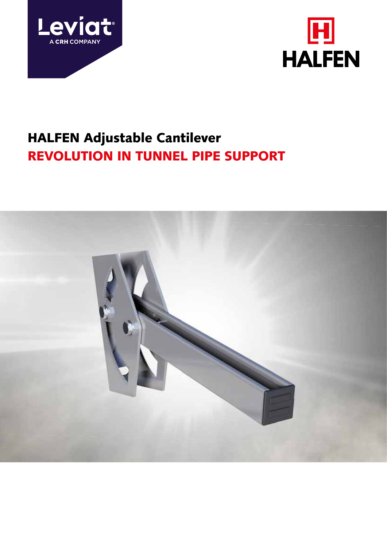



# HALFEN Adjustable Cantilever REVOLUTION IN TUNNEL PIPE SUPPORT

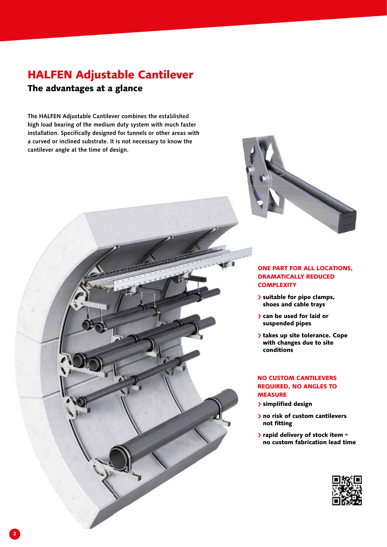## HALFEN Adjustable Cantilever

### The advantages at a glance

The HALFEN Adjustable Cantilever combines the established The HALFEN Adjustable Cantilever combines the established<br>high load bearing of the medium duty system with much faster installation. Specifically designed for tunnels or other areas with a curved or inclined substrate. It is not necessary to know the cantilever angle at the time of design.



#### ONE PART FOR ALL LOCATIONS, PART DRAMATICALLY REDUCED **COMPLEXITY**

- suitable for pipe clamps, suitable shoes and cable trays
- > can be used for laid or suspended pipes suspend
- > takes up site tolerance. Cope with changes due to site conditions conditio

#### NO CUSTOM CANTILEVERS NO CUSTO REQUIRED, NO ANGLES TO REQUIRED **MEASURE**

- > simplified design
- If no risk of custom cantilevers not fitting
- $\blacktriangleright$  rapid delivery of stock item = no custom fabrication lead time custo

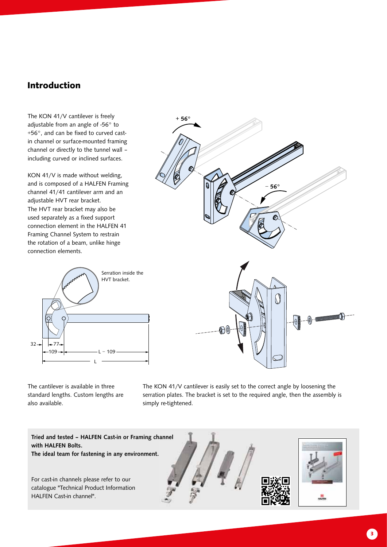### Introduction

The KON 41/V cantilever is freely adjustable from an angle of -56° to +56°, and can be fixed to curved castin channel or surface-mounted framing channel or directly to the tunnel wall – including curved or inclined surfaces.

KON 41/V is made without welding, and is composed of a HALFEN Framing channel 41/41 cantilever arm and an adjustable HVT rear bracket. The HVT rear bracket may also be used separately as a fixed support connection element in the HALFEN 41 Framing Channel System to restrain the rotation of a beam, unlike hinge connection elements.



− 56°

The cantilever is available in three standard lengths. Custom lengths are also available.

The KON 41/V cantilever is easily set to the correct angle by loosening the serration plates. The bracket is set to the required angle, then the assembly is simply re-tightened.



 $+ 56^\circ$ 

3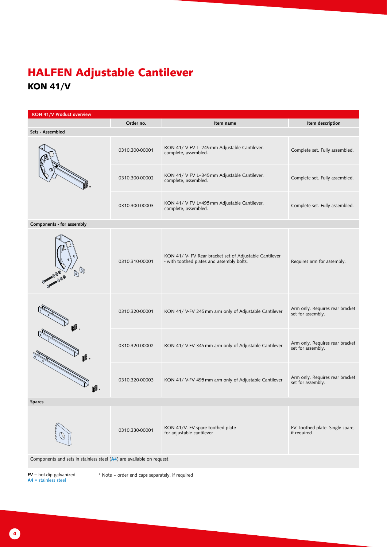## HALFEN Adjustable Cantilever KON 41/V

| KON 41/V Product overview                                                                                                                                                                                                                                                                                                                           |                |                                                                                                      |                                                      |  |  |  |  |  |
|-----------------------------------------------------------------------------------------------------------------------------------------------------------------------------------------------------------------------------------------------------------------------------------------------------------------------------------------------------|----------------|------------------------------------------------------------------------------------------------------|------------------------------------------------------|--|--|--|--|--|
|                                                                                                                                                                                                                                                                                                                                                     | Order no.      | Item name                                                                                            | Item description                                     |  |  |  |  |  |
| Sets - Assembled                                                                                                                                                                                                                                                                                                                                    |                |                                                                                                      |                                                      |  |  |  |  |  |
|                                                                                                                                                                                                                                                                                                                                                     | 0310.300-00001 | KON 41/ V FV L=245 mm Adjustable Cantilever.<br>complete, assembled.                                 | Complete set. Fully assembled.                       |  |  |  |  |  |
|                                                                                                                                                                                                                                                                                                                                                     | 0310.300-00002 | KON 41/ V FV L=345 mm Adjustable Cantilever.<br>complete, assembled.                                 | Complete set. Fully assembled.                       |  |  |  |  |  |
|                                                                                                                                                                                                                                                                                                                                                     | 0310.300-00003 | KON 41/ V FV L=495 mm Adjustable Cantilever.<br>complete, assembled.                                 | Complete set. Fully assembled.                       |  |  |  |  |  |
| Components - for assembly                                                                                                                                                                                                                                                                                                                           |                |                                                                                                      |                                                      |  |  |  |  |  |
| $\begin{picture}(40,40) \put(0,0){\line(1,0){10}} \put(10,0){\line(1,0){10}} \put(10,0){\line(1,0){10}} \put(10,0){\line(1,0){10}} \put(10,0){\line(1,0){10}} \put(10,0){\line(1,0){10}} \put(10,0){\line(1,0){10}} \put(10,0){\line(1,0){10}} \put(10,0){\line(1,0){10}} \put(10,0){\line(1,0){10}} \put(10,0){\line(1,0){10}} \put(10,0){\line(1$ | 0310.310-00001 | KON 41/ V- FV Rear bracket set of Adjustable Cantilever<br>- with toothed plates and assembly bolts. | Requires arm for assembly.                           |  |  |  |  |  |
|                                                                                                                                                                                                                                                                                                                                                     | 0310.320-00001 | KON 41/ V-FV 245 mm arm only of Adjustable Cantilever                                                | Arm only. Requires rear bracket<br>set for assembly. |  |  |  |  |  |
|                                                                                                                                                                                                                                                                                                                                                     | 0310.320-00002 | KON 41/ V-FV 345 mm arm only of Adjustable Cantilever                                                | Arm only. Requires rear bracket<br>set for assembly. |  |  |  |  |  |
| ß.                                                                                                                                                                                                                                                                                                                                                  | 0310.320-00003 | KON 41/ V-FV 495 mm arm only of Adjustable Cantilever                                                | Arm only. Requires rear bracket<br>set for assembly. |  |  |  |  |  |
| <b>Spares</b>                                                                                                                                                                                                                                                                                                                                       |                |                                                                                                      |                                                      |  |  |  |  |  |
|                                                                                                                                                                                                                                                                                                                                                     | 0310.330-00001 | KON 41/V- FV spare toothed plate<br>for adjustable cantilever                                        | FV Toothed plate. Single spare,<br>if required       |  |  |  |  |  |
| Components and sets in stainless steel (A4) are available on request                                                                                                                                                                                                                                                                                |                |                                                                                                      |                                                      |  |  |  |  |  |

FV = hot-dip galvanized<br>A4 = stainless steel

\* Note ‒ order end caps separately, if required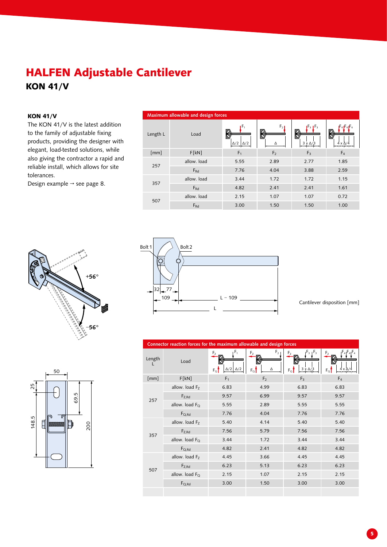### HALFEN Adjustable Cantilever KON 41/V

#### KON 41/V

The KON 41/V is the latest addition to the family of adjustable fixing products, providing the designer with elegant, load-tested solutions, while also giving the contractor a rapid and reliable install, which allows for site tolerances.

Design example → see page 8.





Connector reaction forces for the maximum allowable and design forces

Maximum allowable and design forces

 $F_1$ 

 $[mn]$  F[kN] F<sub>1</sub> F<sub>2</sub> F<sub>3</sub> F<sub>3</sub>

 $F<sub>2</sub>$ 

 $F_3$   $F_3$ 

 $F_4F_4F_4$ 

4 x Δ/4

3 x Δ/3

Δ

allow. load 5.55 2.89 2.77 1.85  $F_{\rm Rd}$  7.76 4.04 3.88 2.59

allow. load 3.44 1.72 1.72 1.15 FRd 4.82 2.41 2.41 1.61

allow. load 2.15 1.07 1.07 0.72 FRd 3.00 1.50 1.50 1.00

Δ/2 Δ/2

Length L Load

257

357

507

Cantilever disposition [mm]

| Length | Load                       | ıF.<br>F <sub>z</sub><br>$\Delta/2$ $\Delta/2$<br>$F_Q$ | F <sub>2</sub><br>F <sub>z</sub><br>Δ<br>$F_Q$ | $F_3$ $F_3$<br>$F_{Z}$<br>$3 \times \Delta/3$<br>$F_Q$ | $-4$ <sub>1</sub> $F_4$<br>F <sub>7</sub><br>$4 \times \Delta/4$<br>$F_Q$ |
|--------|----------------------------|---------------------------------------------------------|------------------------------------------------|--------------------------------------------------------|---------------------------------------------------------------------------|
| [mm]   | F[kN]                      | F <sub>1</sub>                                          | F <sub>2</sub>                                 | F <sub>3</sub>                                         | F <sub>4</sub>                                                            |
| 257    | allow. load F <sub>7</sub> | 6.83                                                    | 4.99                                           | 6.83                                                   | 6.83                                                                      |
|        | $F_{Z, Rd}$                | 9.57                                                    | 6.99                                           | 9.57                                                   | 9.57                                                                      |
|        | allow. load $F_{\Omega}$   | 5.55                                                    | 2.89                                           | 5.55                                                   | 5.55                                                                      |
|        | $F_{Q, Rd}$                | 7.76                                                    | 4.04                                           | 7.76                                                   | 7.76                                                                      |
| 357    | allow. load F <sub>7</sub> | 5.40                                                    | 4.14                                           | 5.40                                                   | 5.40                                                                      |
|        | $F_{Z, Rd}$                | 7.56                                                    | 5.79                                           | 7.56                                                   | 7.56                                                                      |
|        | allow. load $F_{\Omega}$   | 3.44                                                    | 1.72                                           | 3.44                                                   | 3.44                                                                      |
|        | $F_{Q, Rd}$                | 4.82                                                    | 2.41                                           | 4.82                                                   | 4.82                                                                      |
| 507    | allow. load F <sub>7</sub> | 4.45                                                    | 3.66                                           | 4.45                                                   | 4.45                                                                      |
|        | $F_{Z, Rd}$                | 6.23                                                    | 5.13                                           | 6.23                                                   | 6.23                                                                      |
|        | allow. load $F_{\Omega}$   | 2.15                                                    | 1.07                                           | 2.15                                                   | 2.15                                                                      |
|        | $F_{Q, Rd}$                | 3.00                                                    | 1.50                                           | 3.00                                                   | 3.00                                                                      |
|        |                            |                                                         |                                                |                                                        |                                                                           |



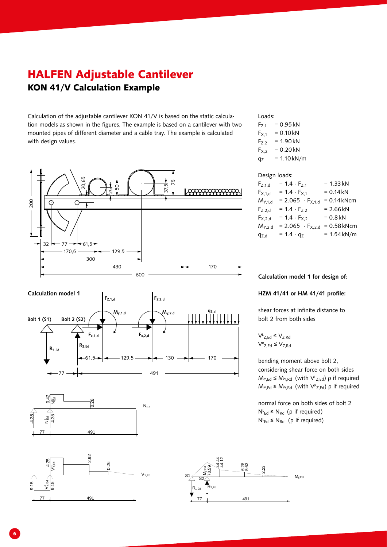### HALFEN Adjustable Cantilever KON 41/V Calculation Example

Calculation of the adjustable cantilever KON 41/V is based on the static calculation models as shown in the figures. The example is based on a cantilever with two mounted pipes of different diameter and a cable tray. The example is calculated with design values.









#### $R_{1,Ed}$   $R_{2,Ed}$ 77  $\frac{1}{\sqrt{2}}$  s<sub>2</sub>  $49'$ My,Ed  $2.3$ 6.28 5.63 44.44 44.12 70.59  $M_{v,Ed}$

#### Loads:

 $F_{Z,1}$  = 0.95 kN  $F_{X,1} = 0.10$  kN  $F_{Z,2}$  = 1.90 kN  $F_{X,2}$  = 0.20 kN  $q_7$  = 1.10 kN/m

#### Design loads:

| $F_{Z,1,d}$ | $= 1.4 \cdot F_{Z,1}$     | $= 1.33 kN$   |
|-------------|---------------------------|---------------|
| $F_{X,1,d}$ | $= 1.4 \cdot F_{X,1}$     | $= 0.14 kN$   |
| $M_{Y,1,d}$ | $= 2.065 \cdot F_{X,1,d}$ | $= 0.14$ kNcm |
| $F_{Z,2,d}$ | $= 1.4 \cdot F_{Z,2}$     | $= 2.66 kN$   |
| $F_{X,2,d}$ | $= 1.4 \cdot F_{X,2}$     | $= 0.8$ kN    |
| $M_{Y,2,d}$ | $= 2.065 \cdot F_{X,2,d}$ | $= 0.58$ kNcm |
| $q_{Z,d}$   | $= 1.4 \cdot q_{Z}$       | $= 1.54$ kN/m |

#### Calculation model 1 for design of:

#### HZM 41/41 or HM 41/41 profile:

shear forces at infinite distance to bolt 2 from both sides

$$
\begin{aligned} \nabla^L_{Z,Ed} &\leq \nabla_{Z,Rd} \\ \nabla^R_{Z,Ed} &\leq \nabla_{Z,Rd} \n\end{aligned}
$$

VL

bending moment above bolt 2, considering shear force on both sides  $M_{Y,Ed} \le M_{Y,Rd}$  (with  $V^L_{Z,Ed}$ )  $\rho$  if required  $M_{Y,Ed} \le M_{Y,Rd}$  (with  $V_{Z,Ed}$ )  $\rho$  if required

normal force on both sides of bolt 2  $N<sup>L</sup><sub>Ed</sub> ≤ N<sub>Rd</sub>$  (ρ if required)  $N<sup>L</sup><sub>Ed</sub> ≤ N<sub>Rd</sub>$  (ρ if required)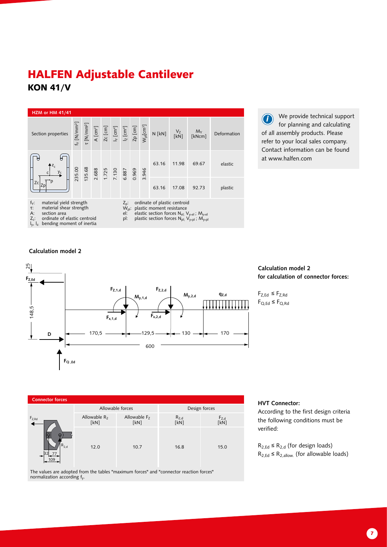### HALFEN Adjustable Cantilever KON 41/V



We provide technical support for planning and calculating of all assembly products. Please refer to your local sales company. Contact information can be found at www.halfen.com i

#### Calculation model 2



#### Calculation model 2 for calculation of connector forces:

 $F_{Z,Ed} \leq F_{Z,Rd}$  $F_{Q,Ed} \leq F_{Q,Rd}$ 



The values are adopted from the tables "maximum forces" and "connector reaction forces" normalization according fy.

#### HVT Connector:

According to the first design criteria the following conditions must be verified:

 $R_{2,Ed} \leq R_{2,d}$  (for design loads)  $R_{2,Ed} \leq R_{2,allow}$  (for allowable loads)